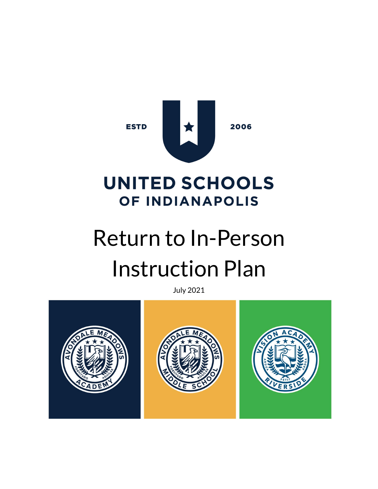

# **UNITED SCHOOLS OF INDIANAPOLIS**

# Return to In-Person Instruction Plan

July 2021

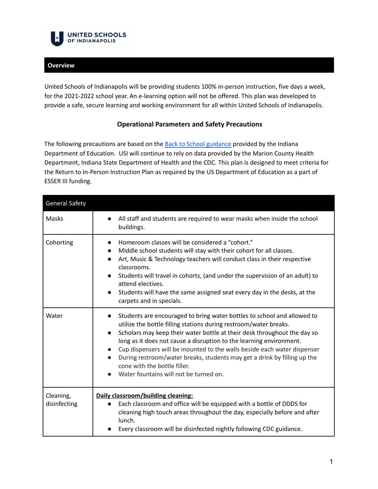

### **Overview**

United Schools of Indianapolis will be providing students 100% in-person instruction, five days a week, for the 2021-2022 school year. An e-learning option will not be offered. This plan was developed to provide a safe, secure learning and working environment for all within United Schools of Indianapolis.

### **Operational Parameters and Safety Precautions**

The following precautions are based on the **Back to School [guidance](https://www.coronavirus.in.gov/files/Fall%202021%20COVID-19%20One%20Page%20Guidance%20(6.8.21).pdf)** provided by the Indiana Department of Education. USI will continue to rely on data provided by the Marion County Health Department, Indiana State Department of Health and the CDC. This plan is designed to meet criteria for the Return to In-Person Instruction Plan as required by the US Department of Education as a part of ESSER III funding.

| <b>General Safety</b>     |                                                                                                                                                                                                                                                                                                                                                                                                                                                                                                                                  |
|---------------------------|----------------------------------------------------------------------------------------------------------------------------------------------------------------------------------------------------------------------------------------------------------------------------------------------------------------------------------------------------------------------------------------------------------------------------------------------------------------------------------------------------------------------------------|
| Masks                     | All staff and students are required to wear masks when inside the school<br>$\bullet$<br>buildings.                                                                                                                                                                                                                                                                                                                                                                                                                              |
| Cohorting                 | Homeroom classes will be considered a "cohort."<br>Middle school students will stay with their cohort for all classes.<br>$\bullet$<br>Art, Music & Technology teachers will conduct class in their respective<br>classrooms.<br>Students will travel in cohorts, (and under the supervision of an adult) to<br>attend electives.<br>Students will have the same assigned seat every day in the desks, at the<br>carpets and in specials.                                                                                        |
| Water                     | Students are encouraged to bring water bottles to school and allowed to<br>utilize the bottle filling stations during restroom/water breaks.<br>Scholars may keep their water bottle at their desk throughout the day so<br>long as it does not cause a disruption to the learning environment.<br>Cup dispensers will be mounted to the walls beside each water dispenser<br>During restroom/water breaks, students may get a drink by filling up the<br>cone with the bottle filler.<br>Water fountains will not be turned on. |
| Cleaning,<br>disinfecting | Daily classroom/building cleaning:<br>Each classroom and office will be equipped with a bottle of DDDS for<br>cleaning high touch areas throughout the day, especially before and after<br>lunch.<br>Every classroom will be disinfected nightly following CDC guidance.                                                                                                                                                                                                                                                         |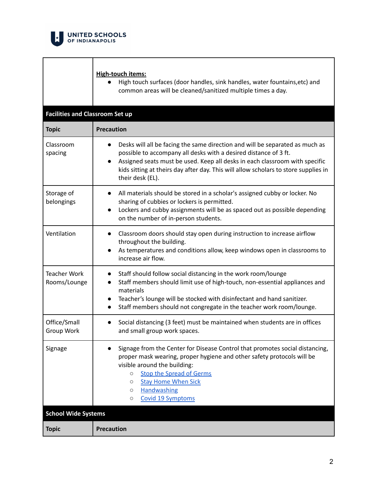

#### **High-touch items:**

● High touch surfaces (door handles, sink handles, water fountains,etc) and common areas will be cleaned/sanitized multiple times a day.

| <b>Facilities and Classroom Set up</b> |                                                                                                                                                                                                                                                                                                                                                                |  |
|----------------------------------------|----------------------------------------------------------------------------------------------------------------------------------------------------------------------------------------------------------------------------------------------------------------------------------------------------------------------------------------------------------------|--|
| <b>Topic</b>                           | <b>Precaution</b>                                                                                                                                                                                                                                                                                                                                              |  |
| Classroom<br>spacing                   | Desks will all be facing the same direction and will be separated as much as<br>possible to accompany all desks with a desired distance of 3 ft.<br>Assigned seats must be used. Keep all desks in each classroom with specific<br>kids sitting at theirs day after day. This will allow scholars to store supplies in<br>their desk (EL).                     |  |
| Storage of<br>belongings               | All materials should be stored in a scholar's assigned cubby or locker. No<br>sharing of cubbies or lockers is permitted.<br>Lockers and cubby assignments will be as spaced out as possible depending<br>$\bullet$<br>on the number of in-person students.                                                                                                    |  |
| Ventilation                            | Classroom doors should stay open during instruction to increase airflow<br>$\bullet$<br>throughout the building.<br>As temperatures and conditions allow, keep windows open in classrooms to<br>$\bullet$<br>increase air flow.                                                                                                                                |  |
| <b>Teacher Work</b><br>Rooms/Lounge    | Staff should follow social distancing in the work room/lounge<br>$\bullet$<br>Staff members should limit use of high-touch, non-essential appliances and<br>$\bullet$<br>materials<br>Teacher's lounge will be stocked with disinfectant and hand sanitizer.<br>$\bullet$<br>Staff members should not congregate in the teacher work room/lounge.<br>$\bullet$ |  |
| Office/Small<br>Group Work             | Social distancing (3 feet) must be maintained when students are in offices<br>$\bullet$<br>and small group work spaces.                                                                                                                                                                                                                                        |  |
| Signage                                | Signage from the Center for Disease Control that promotes social distancing,<br>$\bullet$<br>proper mask wearing, proper hygiene and other safety protocols will be<br>visible around the building:<br><b>Stop the Spread of Germs</b><br>$\circ$<br><b>Stay Home When Sick</b><br>$\circ$<br>Handwashing<br>$\circ$<br>Covid 19 Symptoms<br>$\circ$           |  |
| <b>School Wide Systems</b>             |                                                                                                                                                                                                                                                                                                                                                                |  |
| <b>Topic</b>                           | <b>Precaution</b>                                                                                                                                                                                                                                                                                                                                              |  |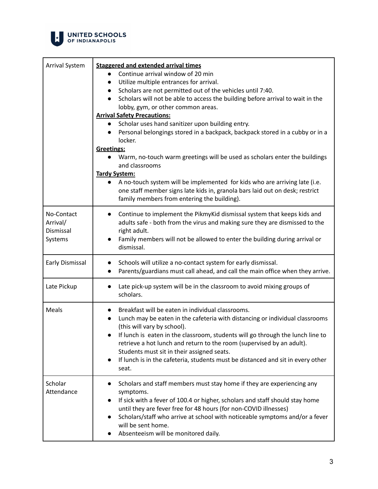

| <b>Arrival System</b>                          | <b>Staggered and extended arrival times</b><br>Continue arrival window of 20 min<br>$\bullet$<br>Utilize multiple entrances for arrival.<br>$\bullet$<br>Scholars are not permitted out of the vehicles until 7:40.<br>Scholars will not be able to access the building before arrival to wait in the<br>$\bullet$<br>lobby, gym, or other common areas.<br><b>Arrival Safety Precautions:</b><br>Scholar uses hand sanitizer upon building entry.<br>Personal belongings stored in a backpack, backpack stored in a cubby or in a<br>$\bullet$<br>locker.<br>Greetings:<br>Warm, no-touch warm greetings will be used as scholars enter the buildings |
|------------------------------------------------|--------------------------------------------------------------------------------------------------------------------------------------------------------------------------------------------------------------------------------------------------------------------------------------------------------------------------------------------------------------------------------------------------------------------------------------------------------------------------------------------------------------------------------------------------------------------------------------------------------------------------------------------------------|
|                                                | and classrooms<br><b>Tardy System:</b>                                                                                                                                                                                                                                                                                                                                                                                                                                                                                                                                                                                                                 |
|                                                | A no-touch system will be implemented for kids who are arriving late (i.e.<br>one staff member signs late kids in, granola bars laid out on desk; restrict<br>family members from entering the building).                                                                                                                                                                                                                                                                                                                                                                                                                                              |
| No-Contact<br>Arrival/<br>Dismissal<br>Systems | Continue to implement the PikmyKid dismissal system that keeps kids and<br>$\bullet$<br>adults safe - both from the virus and making sure they are dismissed to the<br>right adult.<br>Family members will not be allowed to enter the building during arrival or<br>dismissal.                                                                                                                                                                                                                                                                                                                                                                        |
| Early Dismissal                                | Schools will utilize a no-contact system for early dismissal.<br>$\bullet$<br>Parents/guardians must call ahead, and call the main office when they arrive.<br>$\bullet$                                                                                                                                                                                                                                                                                                                                                                                                                                                                               |
| Late Pickup                                    | Late pick-up system will be in the classroom to avoid mixing groups of<br>scholars.                                                                                                                                                                                                                                                                                                                                                                                                                                                                                                                                                                    |
| Meals                                          | Breakfast will be eaten in individual classrooms.<br>$\bullet$<br>Lunch may be eaten in the cafeteria with distancing or individual classrooms<br>$\bullet$<br>(this will vary by school).<br>If lunch is eaten in the classroom, students will go through the lunch line to<br>retrieve a hot lunch and return to the room (supervised by an adult).<br>Students must sit in their assigned seats.<br>If lunch is in the cafeteria, students must be distanced and sit in every other<br>$\bullet$<br>seat.                                                                                                                                           |
| Scholar<br>Attendance                          | Scholars and staff members must stay home if they are experiencing any<br>symptoms.<br>If sick with a fever of 100.4 or higher, scholars and staff should stay home<br>until they are fever free for 48 hours (for non-COVID illnesses)<br>Scholars/staff who arrive at school with noticeable symptoms and/or a fever<br>will be sent home.<br>Absenteeism will be monitored daily.                                                                                                                                                                                                                                                                   |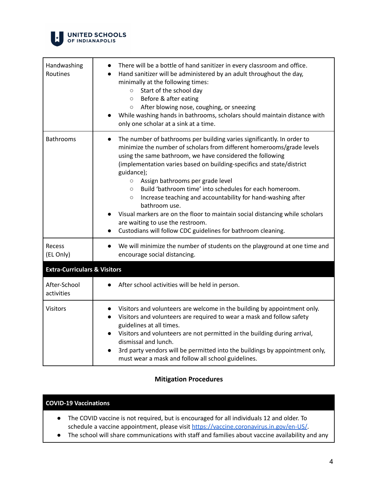

| Handwashing<br>Routines                 | There will be a bottle of hand sanitizer in every classroom and office.<br>Hand sanitizer will be administered by an adult throughout the day,<br>minimally at the following times:<br>Start of the school day<br>$\circ$<br>Before & after eating<br>$\circ$<br>After blowing nose, coughing, or sneezing<br>$\circ$<br>While washing hands in bathrooms, scholars should maintain distance with<br>only one scholar at a sink at a time.                                                                                                                                                                                                                                                                           |
|-----------------------------------------|----------------------------------------------------------------------------------------------------------------------------------------------------------------------------------------------------------------------------------------------------------------------------------------------------------------------------------------------------------------------------------------------------------------------------------------------------------------------------------------------------------------------------------------------------------------------------------------------------------------------------------------------------------------------------------------------------------------------|
| <b>Bathrooms</b>                        | The number of bathrooms per building varies significantly. In order to<br>$\bullet$<br>minimize the number of scholars from different homerooms/grade levels<br>using the same bathroom, we have considered the following<br>(implementation varies based on building-specifics and state/district<br>guidance);<br>Assign bathrooms per grade level<br>$\circ$<br>Build 'bathroom time' into schedules for each homeroom.<br>$\circ$<br>Increase teaching and accountability for hand-washing after<br>$\circ$<br>bathroom use.<br>Visual markers are on the floor to maintain social distancing while scholars<br>are waiting to use the restroom.<br>Custodians will follow CDC guidelines for bathroom cleaning. |
| Recess<br>(EL Only)                     | We will minimize the number of students on the playground at one time and<br>encourage social distancing.                                                                                                                                                                                                                                                                                                                                                                                                                                                                                                                                                                                                            |
| <b>Extra-Curriculars &amp; Visitors</b> |                                                                                                                                                                                                                                                                                                                                                                                                                                                                                                                                                                                                                                                                                                                      |
| After-School<br>activities              | After school activities will be held in person.                                                                                                                                                                                                                                                                                                                                                                                                                                                                                                                                                                                                                                                                      |
| <b>Visitors</b>                         | Visitors and volunteers are welcome in the building by appointment only.<br>Visitors and volunteers are required to wear a mask and follow safety<br>guidelines at all times.<br>Visitors and volunteers are not permitted in the building during arrival,<br>dismissal and lunch.<br>3rd party vendors will be permitted into the buildings by appointment only,<br>must wear a mask and follow all school guidelines.                                                                                                                                                                                                                                                                                              |

## **Mitigation Procedures**

#### **COVID-19 Vaccinations**

- The COVID vaccine is not required, but is encouraged for all individuals 12 and older. To schedule a vaccine appointment, please visit <https://vaccine.coronavirus.in.gov/en-US/>.
- The school will share communications with staff and families about vaccine availability and any